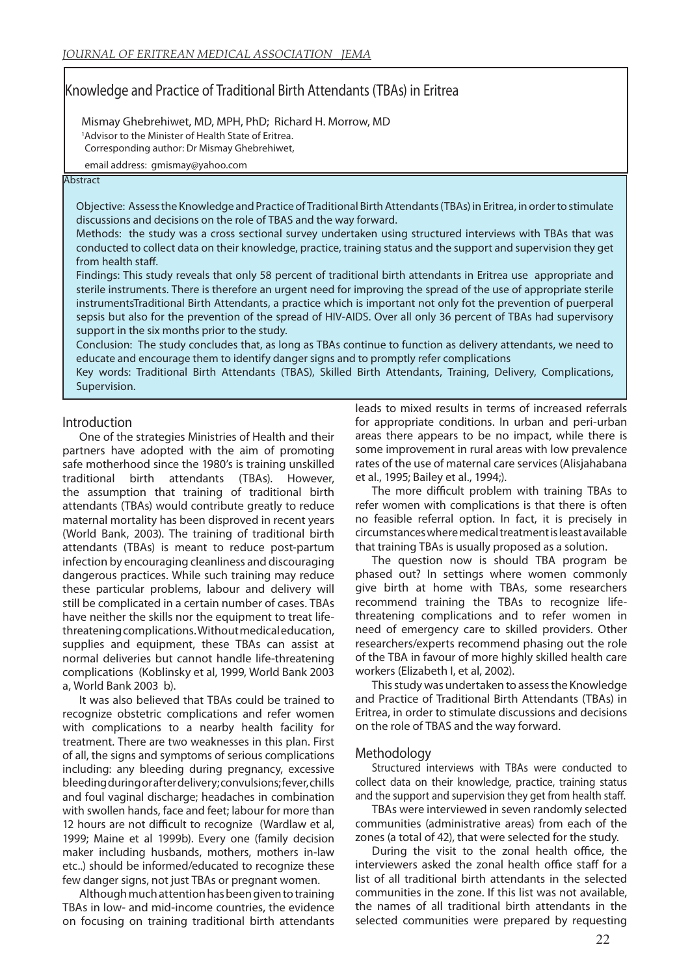# Knowledge and Practice of Traditional Birth Attendants (TBAs) in Eritrea

 Mismay Ghebrehiwet, MD, MPH, PhD; Richard H. Morrow, MD <sup>1</sup>Advisor to the Minister of Health State of Eritrea. Corresponding author: Dr Mismay Ghebrehiwet,

email address: gmismay@yahoo.com

### **Abstract**

Objective: Assess the Knowledge and Practice of Traditional Birth Attendants (TBAs) in Eritrea, in order to stimulate discussions and decisions on the role of TBAS and the way forward.

Methods: the study was a cross sectional survey undertaken using structured interviews with TBAs that was conducted to collect data on their knowledge, practice, training status and the support and supervision they get from health staff.

Findings: This study reveals that only 58 percent of traditional birth attendants in Eritrea use appropriate and sterile instruments. There is therefore an urgent need for improving the spread of the use of appropriate sterile instrumentsTraditional Birth Attendants, a practice which is important not only fot the prevention of puerperal sepsis but also for the prevention of the spread of HIV-AIDS. Over all only 36 percent of TBAs had supervisory support in the six months prior to the study.

Conclusion: The study concludes that, as long as TBAs continue to function as delivery attendants, we need to educate and encourage them to identify danger signs and to promptly refer complications

Key words: Traditional Birth Attendants (TBAS), Skilled Birth Attendants, Training, Delivery, Complications, Supervision.

### Introduction

One of the strategies Ministries of Health and their partners have adopted with the aim of promoting safe motherhood since the 1980's is training unskilled traditional birth attendants (TBAs). However, the assumption that training of traditional birth attendants (TBAs) would contribute greatly to reduce maternal mortality has been disproved in recent years (World Bank, 2003). The training of traditional birth attendants (TBAs) is meant to reduce post-partum infection by encouraging cleanliness and discouraging dangerous practices. While such training may reduce these particular problems, labour and delivery will still be complicated in a certain number of cases. TBAs have neither the skills nor the equipment to treat lifethreatening complications. Without medical education, supplies and equipment, these TBAs can assist at normal deliveries but cannot handle life-threatening complications (Koblinsky et al, 1999, World Bank 2003 a, World Bank 2003 b).

It was also believed that TBAs could be trained to recognize obstetric complications and refer women with complications to a nearby health facility for treatment. There are two weaknesses in this plan. First of all, the signs and symptoms of serious complications including: any bleeding during pregnancy, excessive bleeding during or after delivery; convulsions; fever, chills and foul vaginal discharge; headaches in combination with swollen hands, face and feet; labour for more than 12 hours are not difficult to recognize (Wardlaw et al, 1999; Maine et al 1999b). Every one (family decision maker including husbands, mothers, mothers in-law etc..) should be informed/educated to recognize these few danger signs, not just TBAs or pregnant women.

Although much attention has been given to training TBAs in low- and mid-income countries, the evidence on focusing on training traditional birth attendants leads to mixed results in terms of increased referrals for appropriate conditions. In urban and peri-urban areas there appears to be no impact, while there is some improvement in rural areas with low prevalence rates of the use of maternal care services (Alisjahabana et al., 1995; Bailey et al., 1994;).

The more difficult problem with training TBAs to refer women with complications is that there is often no feasible referral option. In fact, it is precisely in circumstances where medical treatment is least available that training TBAs is usually proposed as a solution.

The question now is should TBA program be phased out? In settings where women commonly give birth at home with TBAs, some researchers recommend training the TBAs to recognize lifethreatening complications and to refer women in need of emergency care to skilled providers. Other researchers/experts recommend phasing out the role of the TBA in favour of more highly skilled health care workers (Elizabeth I, et al, 2002).

This study was undertaken to assess the Knowledge and Practice of Traditional Birth Attendants (TBAs) in Eritrea, in order to stimulate discussions and decisions on the role of TBAS and the way forward.

### **Methodology**

Structured interviews with TBAs were conducted to collect data on their knowledge, practice, training status and the support and supervision they get from health staff.

TBAs were interviewed in seven randomly selected communities (administrative areas) from each of the zones (a total of 42), that were selected for the study.

During the visit to the zonal health office, the interviewers asked the zonal health office staff for a list of all traditional birth attendants in the selected communities in the zone. If this list was not available, the names of all traditional birth attendants in the selected communities were prepared by requesting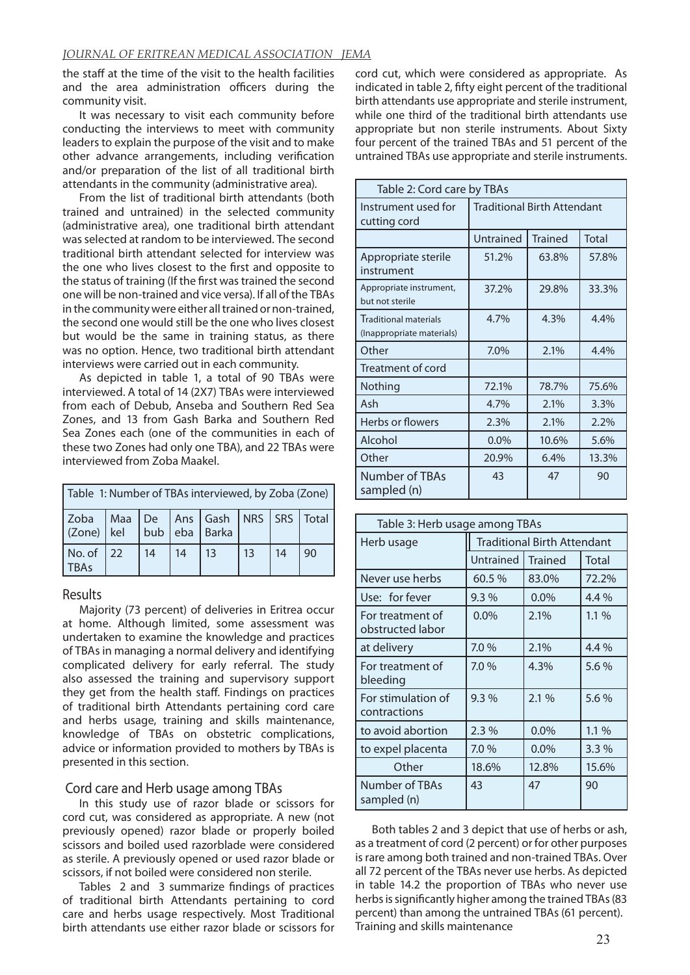the staff at the time of the visit to the health facilities and the area administration officers during the community visit.

It was necessary to visit each community before conducting the interviews to meet with community leaders to explain the purpose of the visit and to make other advance arrangements, including verification and/or preparation of the list of all traditional birth attendants in the community (administrative area).

From the list of traditional birth attendants (both trained and untrained) in the selected community (administrative area), one traditional birth attendant was selected at random to be interviewed. The second traditional birth attendant selected for interview was the one who lives closest to the first and opposite to the status of training (If the first was trained the second one will be non-trained and vice versa). If all of the TBAs in the community were either all trained or non-trained, the second one would still be the one who lives closest but would be the same in training status, as there was no option. Hence, two traditional birth attendant interviews were carried out in each community.

As depicted in table 1, a total of 90 TBAs were interviewed. A total of 14 (2X7) TBAs were interviewed from each of Debub, Anseba and Southern Red Sea Zones, and 13 from Gash Barka and Southern Red Sea Zones each (one of the communities in each of these two Zones had only one TBA), and 22 TBAs were interviewed from Zoba Maakel.

| Table 1: Number of TBAs interviewed, by Zoba (Zone)                      |              |    |    |                 |                 |    |    |
|--------------------------------------------------------------------------|--------------|----|----|-----------------|-----------------|----|----|
| Zoba   Maa   De   Ans   Gash   NRS   SRS   Total  <br>$ $ (Zone) $ $ kel |              |    |    | bub eba   Barka |                 |    |    |
| No. of<br><b>TBAs</b>                                                    | $ 22\rangle$ | 14 | 14 | $\vert$ 13      | 13 <sup>7</sup> | 14 | 90 |

# Results

Majority (73 percent) of deliveries in Eritrea occur at home. Although limited, some assessment was undertaken to examine the knowledge and practices of TBAs in managing a normal delivery and identifying complicated delivery for early referral. The study also assessed the training and supervisory support they get from the health staff. Findings on practices of traditional birth Attendants pertaining cord care and herbs usage, training and skills maintenance, knowledge of TBAs on obstetric complications, advice or information provided to mothers by TBAs is presented in this section.

# Cord care and Herb usage among TBAs

In this study use of razor blade or scissors for cord cut, was considered as appropriate. A new (not previously opened) razor blade or properly boiled scissors and boiled used razorblade were considered as sterile. A previously opened or used razor blade or scissors, if not boiled were considered non sterile.

Tables 2 and 3 summarize findings of practices of traditional birth Attendants pertaining to cord care and herbs usage respectively. Most Traditional birth attendants use either razor blade or scissors for

cord cut, which were considered as appropriate. As indicated in table 2, fifty eight percent of the traditional birth attendants use appropriate and sterile instrument, while one third of the traditional birth attendants use appropriate but non sterile instruments. About Sixty four percent of the trained TBAs and 51 percent of the untrained TBAs use appropriate and sterile instruments.

| Table 2: Cord care by TBAs                                |                                             |       |       |  |  |  |  |  |
|-----------------------------------------------------------|---------------------------------------------|-------|-------|--|--|--|--|--|
| Instrument used for<br>cutting cord                       | <b>Traditional Birth Attendant</b>          |       |       |  |  |  |  |  |
|                                                           | Untrained<br><b>Trained</b><br><b>Total</b> |       |       |  |  |  |  |  |
| Appropriate sterile<br>instrument                         | 51.2%                                       | 63.8% | 57.8% |  |  |  |  |  |
| Appropriate instrument,<br>but not sterile                | 37.2%                                       | 29.8% | 33.3% |  |  |  |  |  |
| <b>Traditional materials</b><br>(Inappropriate materials) | 4.7%                                        | 4.3%  | 4.4%  |  |  |  |  |  |
| Other                                                     | 7.0%                                        | 2.1%  | 4.4%  |  |  |  |  |  |
| Treatment of cord                                         |                                             |       |       |  |  |  |  |  |
| Nothing                                                   | 72.1%                                       | 78.7% | 75.6% |  |  |  |  |  |
| Ash                                                       | 4.7%                                        | 2.1%  | 3.3%  |  |  |  |  |  |
| Herbs or flowers                                          | 2.3%                                        | 2.1%  | 2.2%  |  |  |  |  |  |
| Alcohol                                                   | $0.0\%$                                     | 10.6% | 5.6%  |  |  |  |  |  |
| Other                                                     | 20.9%                                       | 6.4%  | 13.3% |  |  |  |  |  |
| <b>Number of TBAs</b><br>sampled (n)                      | 43                                          | 47    | 90    |  |  |  |  |  |

| Table 3: Herb usage among TBAs       |             |                                    |         |  |  |  |  |
|--------------------------------------|-------------|------------------------------------|---------|--|--|--|--|
| Herb usage                           |             | <b>Traditional Birth Attendant</b> |         |  |  |  |  |
|                                      | Untrained I | <b>Trained</b>                     | Total   |  |  |  |  |
| Never use herbs                      | 60.5%       | 83.0%                              | 72.2%   |  |  |  |  |
| Use: for fever                       | 9.3%        | $0.0\%$                            | $4.4\%$ |  |  |  |  |
| For treatment of<br>obstructed labor | $0.0\%$     | 2.1%                               | $1.1\%$ |  |  |  |  |
| at delivery                          | 7.0 %       | 2.1%                               | 4.4 %   |  |  |  |  |
| For treatment of<br>bleeding         | 7.0%        | 4.3%                               | 5.6%    |  |  |  |  |
| For stimulation of<br>contractions   | 9.3%        | 2.1%                               | 5.6 %   |  |  |  |  |
| to avoid abortion                    | 2.3%        | 0.0%                               | 1.1 %   |  |  |  |  |
| to expel placenta                    | 7.0%        | $0.0\%$                            | 3.3%    |  |  |  |  |
| Other                                | 18.6%       | 12.8%                              | 15.6%   |  |  |  |  |
| Number of TBAs<br>sampled (n)        | 43          | 47                                 | 90      |  |  |  |  |

Both tables 2 and 3 depict that use of herbs or ash, as a treatment of cord (2 percent) or for other purposes is rare among both trained and non-trained TBAs. Over all 72 percent of the TBAs never use herbs. As depicted in table 14.2 the proportion of TBAs who never use herbs is significantly higher among the trained TBAs (83 percent) than among the untrained TBAs (61 percent). Training and skills maintenance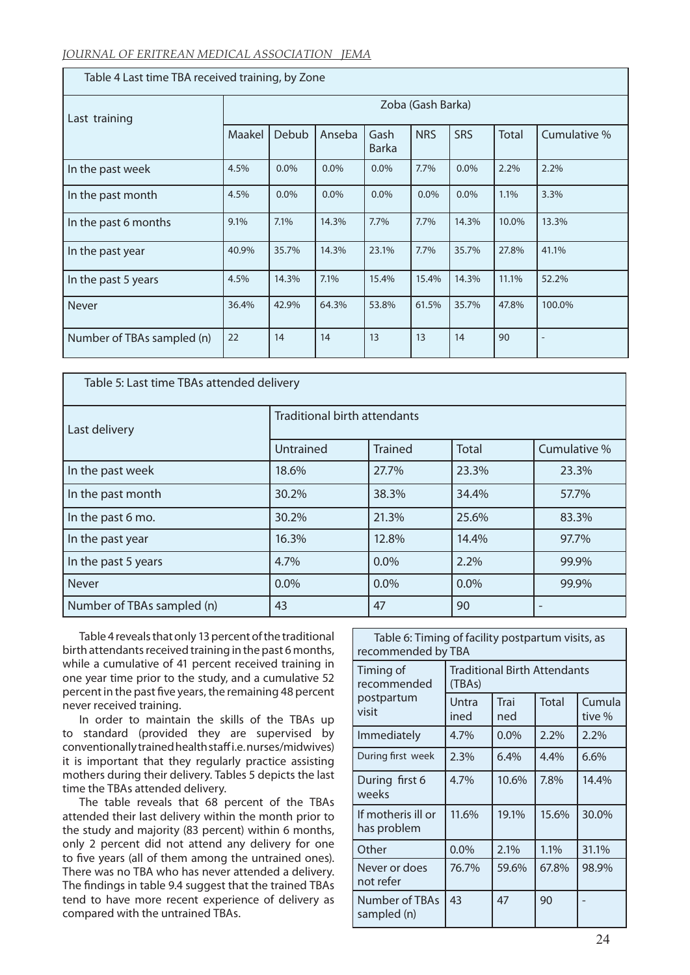| Table 4 Last time TBA received training, by Zone |        |                   |         |                      |            |            |              |                   |  |
|--------------------------------------------------|--------|-------------------|---------|----------------------|------------|------------|--------------|-------------------|--|
| Last training                                    |        | Zoba (Gash Barka) |         |                      |            |            |              |                   |  |
|                                                  | Maakel | Debub             | Anseba  | Gash<br><b>Barka</b> | <b>NRS</b> | <b>SRS</b> | <b>Total</b> | Cumulative %      |  |
| In the past week                                 | 4.5%   | $0.0\%$           | $0.0\%$ | $0.0\%$              | 7.7%       | $0.0\%$    | 2.2%         | 2.2%              |  |
| In the past month                                | 4.5%   | $0.0\%$           | $0.0\%$ | $0.0\%$              | 0.0%       | $0.0\%$    | 1.1%         | 3.3%              |  |
| In the past 6 months                             | 9.1%   | 7.1%              | 14.3%   | 7.7%                 | 7.7%       | 14.3%      | 10.0%        | 13.3%             |  |
| In the past year                                 | 40.9%  | 35.7%             | 14.3%   | 23.1%                | 7.7%       | 35.7%      | 27.8%        | 41.1%             |  |
| In the past 5 years                              | 4.5%   | 14.3%             | 7.1%    | 15.4%                | 15.4%      | 14.3%      | 11.1%        | 52.2%             |  |
| Never                                            | 36.4%  | 42.9%             | 64.3%   | 53.8%                | 61.5%      | 35.7%      | 47.8%        | 100.0%            |  |
| Number of TBAs sampled (n)                       | 22     | 14                | 14      | 13                   | 13         | 14         | 90           | $\qquad \qquad -$ |  |

| Table 5: Last time TBAs attended delivery |                                     |                |              |                 |  |  |  |  |
|-------------------------------------------|-------------------------------------|----------------|--------------|-----------------|--|--|--|--|
| Last delivery                             | <b>Traditional birth attendants</b> |                |              |                 |  |  |  |  |
|                                           | Untrained                           | <b>Trained</b> | <b>Total</b> | Cumulative %    |  |  |  |  |
| In the past week                          | 18.6%                               | 27.7%          | 23.3%        | 23.3%           |  |  |  |  |
| In the past month                         | 30.2%                               | 38.3%          | 34.4%        | 57.7%           |  |  |  |  |
| In the past 6 mo.                         | 30.2%                               | 21.3%          | 25.6%        | 83.3%           |  |  |  |  |
| In the past year                          | 16.3%                               | 12.8%          | 14.4%        | 97.7%           |  |  |  |  |
| In the past 5 years                       | 4.7%                                | $0.0\%$        | 2.2%         | 99.9%           |  |  |  |  |
| <b>Never</b>                              | 0.0%                                | $0.0\%$        | 0.0%         | 99.9%           |  |  |  |  |
| Number of TBAs sampled (n)                | 43                                  | 47             | 90           | $\qquad \qquad$ |  |  |  |  |

Table 4 reveals that only 13 percent of the traditional birth attendants received training in the past 6 months, while a cumulative of 41 percent received training in one year time prior to the study, and a cumulative 52 percent in the past five years, the remaining 48 percent never received training.

In order to maintain the skills of the TBAs up to standard (provided they are supervised by conventionally trained health staff i.e. nurses/midwives) it is important that they regularly practice assisting mothers during their delivery. Tables 5 depicts the last time the TBAs attended delivery.

The table reveals that 68 percent of the TBAs attended their last delivery within the month prior to the study and majority (83 percent) within 6 months, only 2 percent did not attend any delivery for one to five years (all of them among the untrained ones). There was no TBA who has never attended a delivery. The findings in table 9.4 suggest that the trained TBAs tend to have more recent experience of delivery as compared with the untrained TBAs.

| Table 6: Timing of facility postpartum visits, as<br>recommended by TBA |                                               |             |              |                  |  |  |  |  |
|-------------------------------------------------------------------------|-----------------------------------------------|-------------|--------------|------------------|--|--|--|--|
| Timing of<br>recommended<br>postpartum<br>visit                         | <b>Traditional Birth Attendants</b><br>(TBAs) |             |              |                  |  |  |  |  |
|                                                                         | Untra<br>ined                                 | Trai<br>ned | <b>Total</b> | Cumula<br>tive % |  |  |  |  |
| Immediately                                                             | 4.7%                                          | $0.0\%$     | 2.2%         | 2.2%             |  |  |  |  |
| During first week                                                       | 2.3%                                          | 6.4%        | 4.4%         | 6.6%             |  |  |  |  |
| During first 6<br>weeks                                                 | 4.7%                                          | 10.6%       | 7.8%         | 14.4%            |  |  |  |  |
| If motheris ill or<br>has problem                                       | 11.6%                                         | 19.1%       | 15.6%        | 30.0%            |  |  |  |  |
| Other                                                                   | 0.0%                                          | 2.1%        | 1.1%         | 31.1%            |  |  |  |  |
| Never or does<br>not refer                                              | 76.7%                                         | 59.6%       | 67.8%        | 98.9%            |  |  |  |  |
| Number of TBAs<br>sampled (n)                                           | 43                                            | 47          | 90           |                  |  |  |  |  |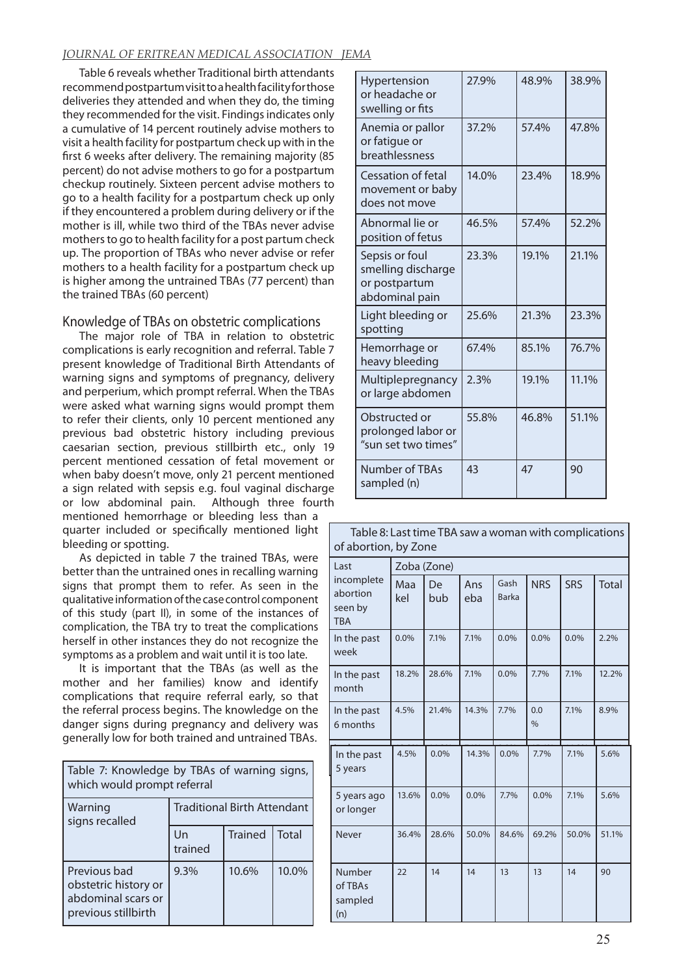# *JOURNAL OF ERITREAN MEDICAL ASSOCIATION JEMA*

Table 6 reveals whether Traditional birth attendants recommend postpartum visit to a health facility for those deliveries they attended and when they do, the timing they recommended for the visit. Findings indicates only a cumulative of 14 percent routinely advise mothers to visit a health facility for postpartum check up with in the first 6 weeks after delivery. The remaining majority (85 percent) do not advise mothers to go for a postpartum checkup routinely. Sixteen percent advise mothers to go to a health facility for a postpartum check up only if they encountered a problem during delivery or if the mother is ill, while two third of the TBAs never advise mothers to go to health facility for a post partum check up. The proportion of TBAs who never advise or refer mothers to a health facility for a postpartum check up is higher among the untrained TBAs (77 percent) than the trained TBAs (60 percent)

# Knowledge of TBAs on obstetric complications

The major role of TBA in relation to obstetric complications is early recognition and referral. Table 7 present knowledge of Traditional Birth Attendants of warning signs and symptoms of pregnancy, delivery and perperium, which prompt referral. When the TBAs were asked what warning signs would prompt them to refer their clients, only 10 percent mentioned any previous bad obstetric history including previous caesarian section, previous stillbirth etc., only 19 percent mentioned cessation of fetal movement or when baby doesn't move, only 21 percent mentioned a sign related with sepsis e.g. foul vaginal discharge or low abdominal pain. Although three fourth

mentioned hemorrhage or bleeding less than a quarter included or specifically mentioned light bleeding or spotting.

As depicted in table 7 the trained TBAs, were better than the untrained ones in recalling warning signs that prompt them to refer. As seen in the qualitative information of the case control component of this study (part II), in some of the instances of complication, the TBA try to treat the complications herself in other instances they do not recognize the symptoms as a problem and wait until it is too late.

It is important that the TBAs (as well as the mother and her families) know and identify complications that require referral early, so that the referral process begins. The knowledge on the danger signs during pregnancy and delivery was generally low for both trained and untrained TBAs.

| Table 7: Knowledge by TBAs of warning signs,<br>which would prompt referral       |                                    |                |              |  |  |  |  |
|-----------------------------------------------------------------------------------|------------------------------------|----------------|--------------|--|--|--|--|
| Warning<br>signs recalled                                                         | <b>Traditional Birth Attendant</b> |                |              |  |  |  |  |
|                                                                                   | $_{\text{Un}}$<br>trained          | <b>Trained</b> | <b>Total</b> |  |  |  |  |
| Previous bad<br>obstetric history or<br>abdominal scars or<br>previous stillbirth | 9.3%                               | 10.6%          | 10.0%        |  |  |  |  |

| Hypertension<br>or headache or<br>swelling or fits                      | 27.9% | 48.9% | 38.9% |
|-------------------------------------------------------------------------|-------|-------|-------|
| Anemia or pallor<br>or fatigue or<br>breathlessness                     | 37.2% | 57.4% | 47.8% |
| <b>Cessation of fetal</b><br>movement or baby<br>does not move          | 14.0% | 23.4% | 18.9% |
| Abnormal lie or<br>position of fetus                                    | 46.5% | 57.4% | 52.2% |
| Sepsis or foul<br>smelling discharge<br>or postpartum<br>abdominal pain | 23.3% | 19.1% | 21.1% |
| Light bleeding or<br>spotting                                           | 25.6% | 21.3% | 23.3% |
| Hemorrhage or<br>heavy bleeding                                         | 67.4% | 85.1% | 76.7% |
| Multiplepregnancy<br>or large abdomen                                   | 2.3%  | 19.1% | 11.1% |
| Obstructed or<br>prolonged labor or<br>"sun set two times"              | 55.8% | 46.8% | 51.1% |
| <b>Number of TBAs</b><br>sampled (n)                                    | 43    | 47    | 90    |

| Table 8: Last time TBA saw a woman with complications<br>of abortion, by Zone |             |           |            |                      |                      |       |              |  |
|-------------------------------------------------------------------------------|-------------|-----------|------------|----------------------|----------------------|-------|--------------|--|
| Last                                                                          | Zoba (Zone) |           |            |                      |                      |       |              |  |
| incomplete<br>abortion<br>seen by<br><b>TBA</b>                               | Maa<br>kel  | De<br>bub | Ans<br>eba | Gash<br><b>Barka</b> | <b>NRS</b>           | SRS   | <b>Total</b> |  |
| In the past<br>week                                                           | 0.0%        | 7.1%      | 7.1%       | 0.0%                 | 0.0%                 | 0.0%  | 2.2%         |  |
| In the past<br>month                                                          | 18.2%       | 28.6%     | 7.1%       | 0.0%                 | 7.7%                 | 7.1%  | 12.2%        |  |
| In the past<br>6 months                                                       | 4.5%        | 21.4%     | 14.3%      | 7.7%                 | 0.0<br>$\frac{0}{0}$ | 7.1%  | 8.9%         |  |
| In the past<br>5 years                                                        | 4.5%        | 0.0%      | 14.3%      | $0.0\%$              | 7.7%                 | 7.1%  | 5.6%         |  |
| 5 years ago<br>or longer                                                      | 13.6%       | $0.0\%$   | 0.0%       | 7.7%                 | 0.0%                 | 7.1%  | 5.6%         |  |
| Never                                                                         | 36.4%       | 28.6%     | 50.0%      | 84.6%                | 69.2%                | 50.0% | 51.1%        |  |
| Number<br>of TBAs<br>sampled<br>(n)                                           | 22          | 14        | 14         | 13                   | 13                   | 14    | 90           |  |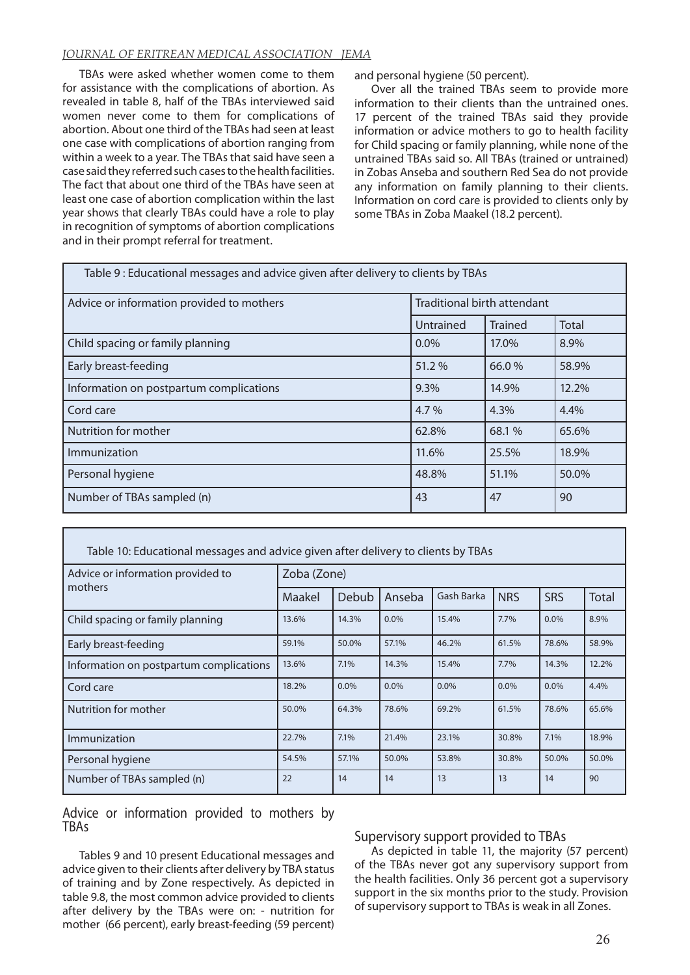# *JOURNAL OF ERITREAN MEDICAL ASSOCIATION JEMA*

TBAs were asked whether women come to them for assistance with the complications of abortion. As revealed in table 8, half of the TBAs interviewed said women never come to them for complications of abortion. About one third of the TBAs had seen at least one case with complications of abortion ranging from within a week to a year. The TBAs that said have seen a case said they referred such cases to the health facilities. The fact that about one third of the TBAs have seen at least one case of abortion complication within the last year shows that clearly TBAs could have a role to play in recognition of symptoms of abortion complications and in their prompt referral for treatment.

and personal hygiene (50 percent).

Over all the trained TBAs seem to provide more information to their clients than the untrained ones. 17 percent of the trained TBAs said they provide information or advice mothers to go to health facility for Child spacing or family planning, while none of the untrained TBAs said so. All TBAs (trained or untrained) in Zobas Anseba and southern Red Sea do not provide any information on family planning to their clients. Information on cord care is provided to clients only by some TBAs in Zoba Maakel (18.2 percent).

| Table 9: Educational messages and advice given after delivery to clients by TBAs |                             |                |              |  |  |  |  |
|----------------------------------------------------------------------------------|-----------------------------|----------------|--------------|--|--|--|--|
| Advice or information provided to mothers                                        | Traditional birth attendant |                |              |  |  |  |  |
|                                                                                  | Untrained                   | <b>Trained</b> | <b>Total</b> |  |  |  |  |
| Child spacing or family planning                                                 | $0.0\%$                     | 17.0%          | 8.9%         |  |  |  |  |
| Early breast-feeding                                                             | 51.2%                       | 66.0%          | 58.9%        |  |  |  |  |
| Information on postpartum complications                                          | 9.3%                        | 14.9%          | 12.2%        |  |  |  |  |
| Cord care                                                                        | 4.7%                        | 4.3%           | 4.4%         |  |  |  |  |
| Nutrition for mother                                                             | 62.8%                       | 68.1%          | 65.6%        |  |  |  |  |
| Immunization                                                                     | 11.6%                       | 25.5%          | 18.9%        |  |  |  |  |
| Personal hygiene                                                                 | 48.8%                       | 51.1%          | 50.0%        |  |  |  |  |
| Number of TBAs sampled (n)                                                       | 43                          | 47             | 90           |  |  |  |  |

| Table 10: Educational messages and advice given after delivery to clients by TBAs |             |              |         |            |            |            |       |  |
|-----------------------------------------------------------------------------------|-------------|--------------|---------|------------|------------|------------|-------|--|
| Advice or information provided to                                                 | Zoba (Zone) |              |         |            |            |            |       |  |
| mothers                                                                           | Maakel      | <b>Debub</b> | Anseba  | Gash Barka | <b>NRS</b> | <b>SRS</b> | Total |  |
| Child spacing or family planning                                                  | 13.6%       | 14.3%        | $0.0\%$ | 15.4%      | 7.7%       | 0.0%       | 8.9%  |  |
| Early breast-feeding                                                              | 59.1%       | 50.0%        | 57.1%   | 46.2%      | 61.5%      | 78.6%      | 58.9% |  |
| Information on postpartum complications                                           | 13.6%       | 7.1%         | 14.3%   | 15.4%      | 7.7%       | 14.3%      | 12.2% |  |
| Cord care                                                                         | 18.2%       | 0.0%         | $0.0\%$ | 0.0%       | $0.0\%$    | 0.0%       | 4.4%  |  |
| Nutrition for mother                                                              | 50.0%       | 64.3%        | 78.6%   | 69.2%      | 61.5%      | 78.6%      | 65.6% |  |
| Immunization                                                                      | 22.7%       | 7.1%         | 21.4%   | 23.1%      | 30.8%      | 7.1%       | 18.9% |  |
| Personal hygiene                                                                  | 54.5%       | 57.1%        | 50.0%   | 53.8%      | 30.8%      | 50.0%      | 50.0% |  |
| Number of TBAs sampled (n)                                                        | 22          | 14           | 14      | 13         | 13         | 14         | 90    |  |

Advice or information provided to mothers by TBAs

Tables 9 and 10 present Educational messages and advice given to their clients after delivery by TBA status of training and by Zone respectively. As depicted in table 9.8, the most common advice provided to clients after delivery by the TBAs were on: - nutrition for mother (66 percent), early breast-feeding (59 percent)

# Supervisory support provided to TBAs

As depicted in table 11, the majority (57 percent) of the TBAs never got any supervisory support from the health facilities. Only 36 percent got a supervisory support in the six months prior to the study. Provision of supervisory support to TBAs is weak in all Zones.